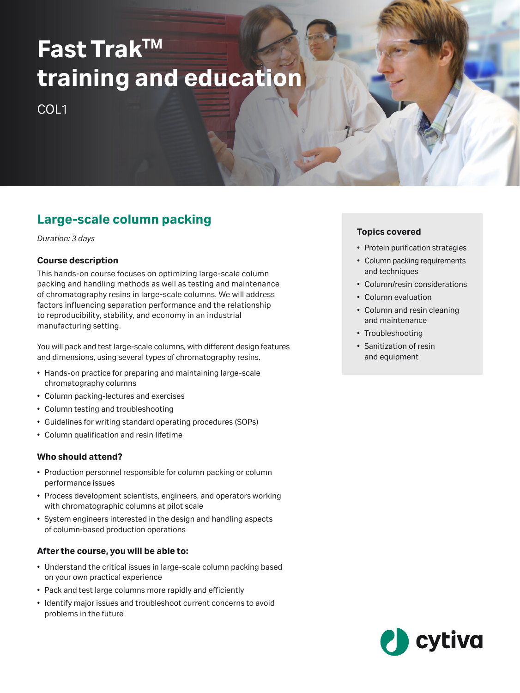# **Fast TrakTM training and education**

COL<sub>1</sub>

# **Large-scale column packing**

*Duration: 3 days*

#### **Course description**

This hands-on course focuses on optimizing large-scale column packing and handling methods as well as testing and maintenance of chromatography resins in large-scale columns. We will address factors influencing separation performance and the relationship to reproducibility, stability, and economy in an industrial manufacturing setting.

You will pack and test large-scale columns, with different design features and dimensions, using several types of chromatography resins.

- Hands-on practice for preparing and maintaining large-scale chromatography columns
- Column packing-lectures and exercises
- Column testing and troubleshooting
- Guidelines for writing standard operating procedures (SOPs)
- Column qualification and resin lifetime

#### **Who should attend?**

- Production personnel responsible for column packing or column performance issues
- Process development scientists, engineers, and operators working with chromatographic columns at pilot scale
- System engineers interested in the design and handling aspects of column-based production operations

#### **After the course, you will be able to:**

- Understand the critical issues in large-scale column packing based on your own practical experience
- Pack and test large columns more rapidly and efficiently
- Identify major issues and troubleshoot current concerns to avoid problems in the future

#### **Topics covered**

- Protein purification strategies
- Column packing requirements and techniques
- Column/resin considerations
- Column evaluation
- Column and resin cleaning and maintenance
- Troubleshooting
- Sanitization of resin and equipment

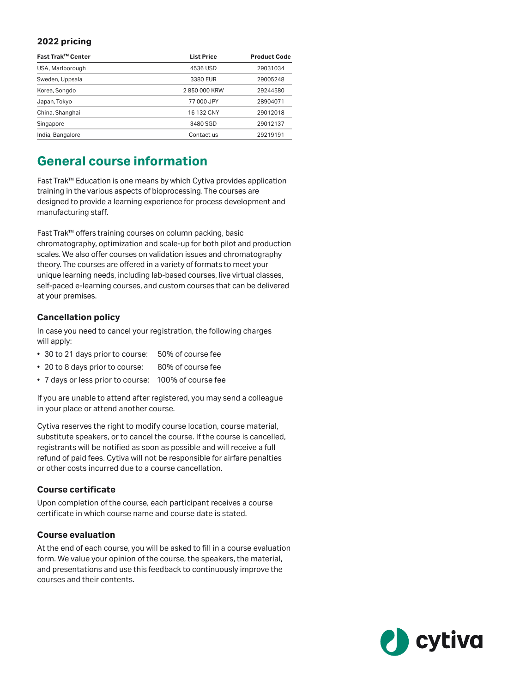#### **2022 pricing**

| Fast Trak™ Center | <b>List Price</b> | <b>Product Code</b> |
|-------------------|-------------------|---------------------|
| USA, Marlborough  | 4536 USD          | 29031034            |
| Sweden, Uppsala   | 3380 EUR          | 29005248            |
| Korea, Songdo     | 2850000 KRW       | 29244580            |
| Japan, Tokyo      | 77 000 JPY        | 28904071            |
| China, Shanghai   | 16 132 CNY        | 29012018            |
| Singapore         | 3480 SGD          | 29012137            |
| India, Bangalore  | Contact us        | 29219191            |

## **General course information**

Fast Trak™ Education is one means by which Cytiva provides application training in the various aspects of bioprocessing. The courses are designed to provide a learning experience for process development and manufacturing staff.

Fast Trak™ offers training courses on column packing, basic chromatography, optimization and scale-up for both pilot and production scales. We also offer courses on validation issues and chromatography theory. The courses are offered in a variety of formats to meet your unique learning needs, including lab-based courses, live virtual classes, self-paced e-learning courses, and custom courses that can be delivered at your premises.

#### **Cancellation policy**

In case you need to cancel your registration, the following charges will apply:

- 30 to 21 days prior to course: 50% of course fee
- 20 to 8 days prior to course: 80% of course fee
- 7 days or less prior to course: 100% of course fee

If you are unable to attend after registered, you may send a colleague in your place or attend another course.

Cytiva reserves the right to modify course location, course material, substitute speakers, or to cancel the course. If the course is cancelled, registrants will be notified as soon as possible and will receive a full refund of paid fees. Cytiva will not be responsible for airfare penalties or other costs incurred due to a course cancellation.

#### **Course certificate**

Upon completion of the course, each participant receives a course certificate in which course name and course date is stated.

#### **Course evaluation**

At the end of each course, you will be asked to fill in a course evaluation form. We value your opinion of the course, the speakers, the material, and presentations and use this feedback to continuously improve the courses and their contents.